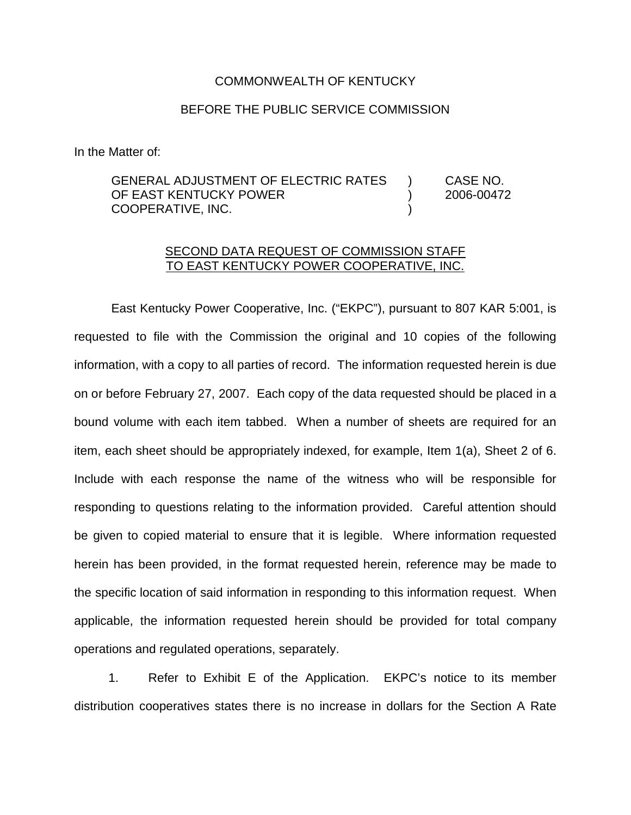## COMMONWEALTH OF KENTUCKY

## BEFORE THE PUBLIC SERVICE COMMISSION

In the Matter of:

GENERAL ADJUSTMENT OF ELECTRIC RATES ) CASE NO. OF EAST KENTUCKY POWER (2006-00472 COOPERATIVE, INC. )

## SECOND DATA REQUEST OF COMMISSION STAFF TO EAST KENTUCKY POWER COOPERATIVE, INC.

East Kentucky Power Cooperative, Inc. ("EKPC"), pursuant to 807 KAR 5:001, is requested to file with the Commission the original and 10 copies of the following information, with a copy to all parties of record. The information requested herein is due on or before February 27, 2007. Each copy of the data requested should be placed in a bound volume with each item tabbed. When a number of sheets are required for an item, each sheet should be appropriately indexed, for example, Item 1(a), Sheet 2 of 6. Include with each response the name of the witness who will be responsible for responding to questions relating to the information provided. Careful attention should be given to copied material to ensure that it is legible. Where information requested herein has been provided, in the format requested herein, reference may be made to the specific location of said information in responding to this information request. When applicable, the information requested herein should be provided for total company operations and regulated operations, separately.

1. Refer to Exhibit E of the Application. EKPC's notice to its member distribution cooperatives states there is no increase in dollars for the Section A Rate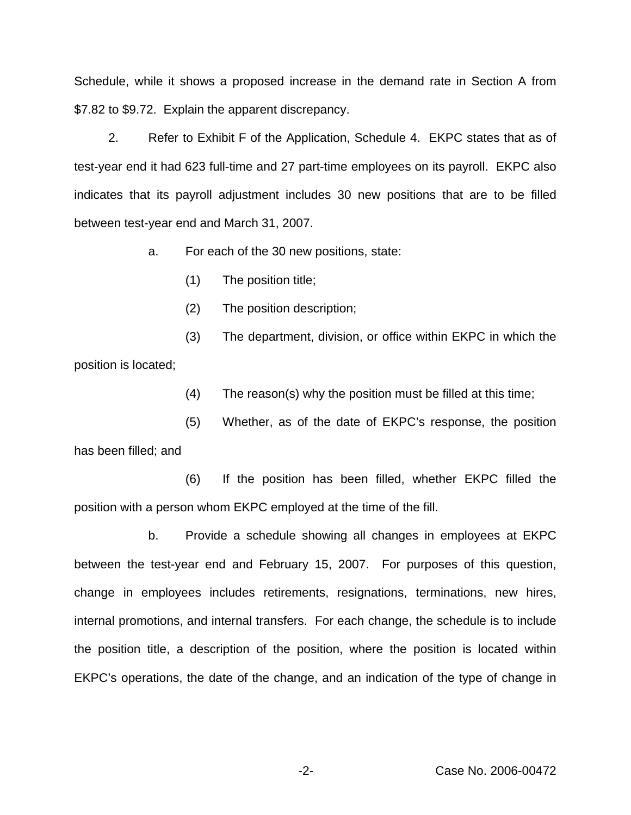Schedule, while it shows a proposed increase in the demand rate in Section A from \$7.82 to \$9.72. Explain the apparent discrepancy.

2. Refer to Exhibit F of the Application, Schedule 4. EKPC states that as of test-year end it had 623 full-time and 27 part-time employees on its payroll. EKPC also indicates that its payroll adjustment includes 30 new positions that are to be filled between test-year end and March 31, 2007.

a. For each of the 30 new positions, state:

(1) The position title;

(2) The position description;

(3) The department, division, or office within EKPC in which the position is located;

(4) The reason(s) why the position must be filled at this time;

(5) Whether, as of the date of EKPC's response, the position

has been filled; and

(6) If the position has been filled, whether EKPC filled the position with a person whom EKPC employed at the time of the fill.

b. Provide a schedule showing all changes in employees at EKPC between the test-year end and February 15, 2007. For purposes of this question, change in employees includes retirements, resignations, terminations, new hires, internal promotions, and internal transfers. For each change, the schedule is to include the position title, a description of the position, where the position is located within EKPC's operations, the date of the change, and an indication of the type of change in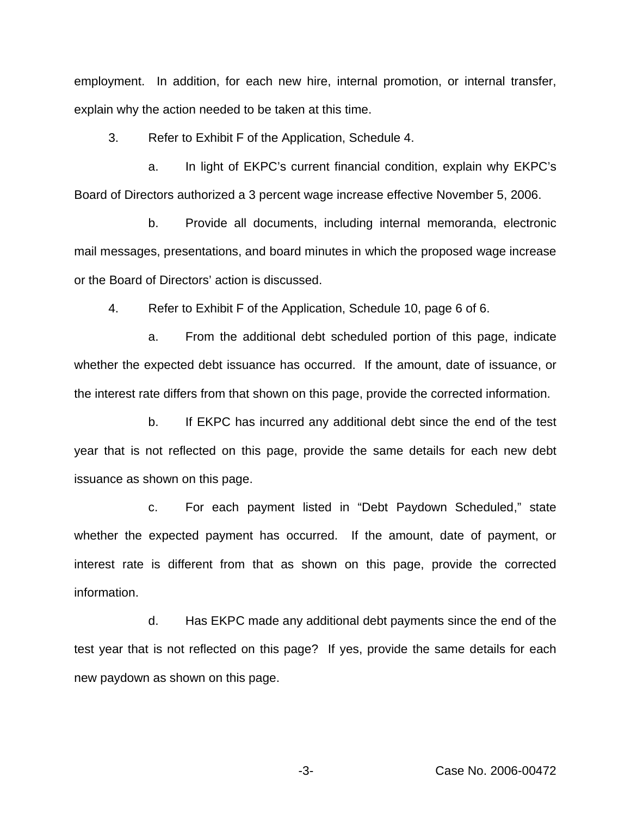employment. In addition, for each new hire, internal promotion, or internal transfer, explain why the action needed to be taken at this time.

3. Refer to Exhibit F of the Application, Schedule 4.

a. In light of EKPC's current financial condition, explain why EKPC's Board of Directors authorized a 3 percent wage increase effective November 5, 2006.

b. Provide all documents, including internal memoranda, electronic mail messages, presentations, and board minutes in which the proposed wage increase or the Board of Directors' action is discussed.

4. Refer to Exhibit F of the Application, Schedule 10, page 6 of 6.

a. From the additional debt scheduled portion of this page, indicate whether the expected debt issuance has occurred. If the amount, date of issuance, or the interest rate differs from that shown on this page, provide the corrected information.

b. If EKPC has incurred any additional debt since the end of the test year that is not reflected on this page, provide the same details for each new debt issuance as shown on this page.

c. For each payment listed in "Debt Paydown Scheduled," state whether the expected payment has occurred. If the amount, date of payment, or interest rate is different from that as shown on this page, provide the corrected information.

d. Has EKPC made any additional debt payments since the end of the test year that is not reflected on this page? If yes, provide the same details for each new paydown as shown on this page.

-3- Case No. 2006-00472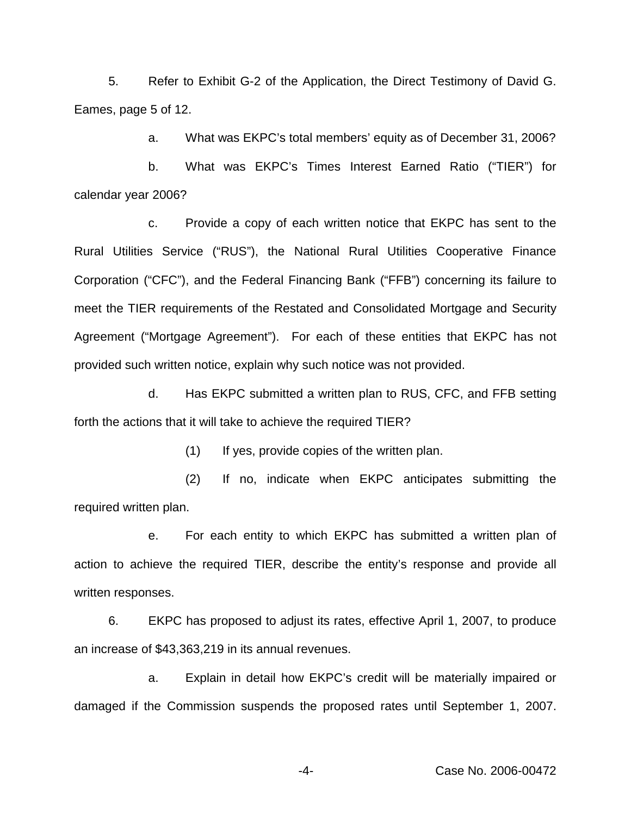5. Refer to Exhibit G-2 of the Application, the Direct Testimony of David G. Eames, page 5 of 12.

a. What was EKPC's total members' equity as of December 31, 2006?

b. What was EKPC's Times Interest Earned Ratio ("TIER") for calendar year 2006?

c. Provide a copy of each written notice that EKPC has sent to the Rural Utilities Service ("RUS"), the National Rural Utilities Cooperative Finance Corporation ("CFC"), and the Federal Financing Bank ("FFB") concerning its failure to meet the TIER requirements of the Restated and Consolidated Mortgage and Security Agreement ("Mortgage Agreement"). For each of these entities that EKPC has not provided such written notice, explain why such notice was not provided.

d. Has EKPC submitted a written plan to RUS, CFC, and FFB setting forth the actions that it will take to achieve the required TIER?

(1) If yes, provide copies of the written plan.

(2) If no, indicate when EKPC anticipates submitting the required written plan.

e. For each entity to which EKPC has submitted a written plan of action to achieve the required TIER, describe the entity's response and provide all written responses.

6. EKPC has proposed to adjust its rates, effective April 1, 2007, to produce an increase of \$43,363,219 in its annual revenues.

a. Explain in detail how EKPC's credit will be materially impaired or damaged if the Commission suspends the proposed rates until September 1, 2007.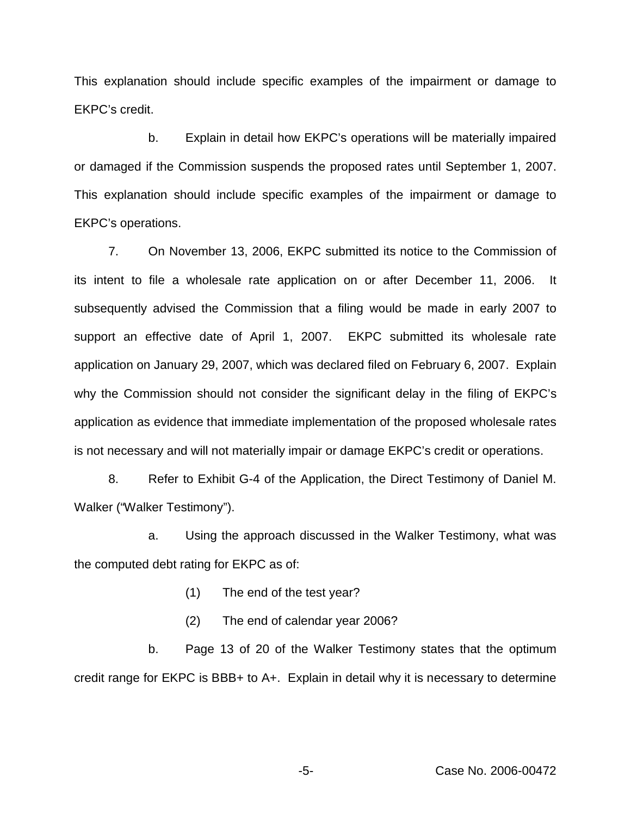This explanation should include specific examples of the impairment or damage to EKPC's credit.

b. Explain in detail how EKPC's operations will be materially impaired or damaged if the Commission suspends the proposed rates until September 1, 2007. This explanation should include specific examples of the impairment or damage to EKPC's operations.

7. On November 13, 2006, EKPC submitted its notice to the Commission of its intent to file a wholesale rate application on or after December 11, 2006. It subsequently advised the Commission that a filing would be made in early 2007 to support an effective date of April 1, 2007. EKPC submitted its wholesale rate application on January 29, 2007, which was declared filed on February 6, 2007. Explain why the Commission should not consider the significant delay in the filing of EKPC's application as evidence that immediate implementation of the proposed wholesale rates is not necessary and will not materially impair or damage EKPC's credit or operations.

8. Refer to Exhibit G-4 of the Application, the Direct Testimony of Daniel M. Walker ("Walker Testimony").

a. Using the approach discussed in the Walker Testimony, what was the computed debt rating for EKPC as of:

- (1) The end of the test year?
- (2) The end of calendar year 2006?

b. Page 13 of 20 of the Walker Testimony states that the optimum credit range for EKPC is BBB+ to A+. Explain in detail why it is necessary to determine

-5- Case No. 2006-00472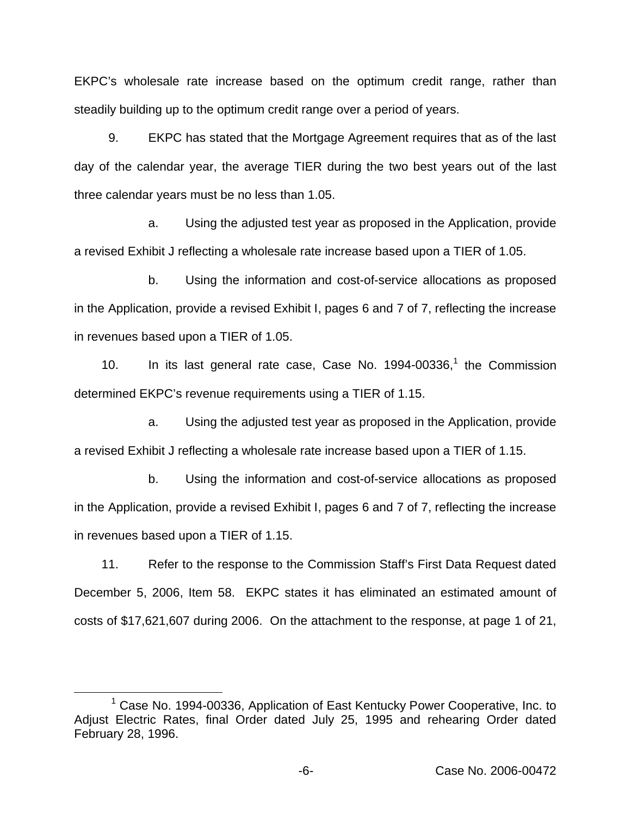EKPC's wholesale rate increase based on the optimum credit range, rather than steadily building up to the optimum credit range over a period of years.

9. EKPC has stated that the Mortgage Agreement requires that as of the last day of the calendar year, the average TIER during the two best years out of the last three calendar years must be no less than 1.05.

a. Using the adjusted test year as proposed in the Application, provide a revised Exhibit J reflecting a wholesale rate increase based upon a TIER of 1.05.

b. Using the information and cost-of-service allocations as proposed in the Application, provide a revised Exhibit I, pages 6 and 7 of 7, reflecting the increase in revenues based upon a TIER of 1.05.

10. In its last general rate case, Case No.  $1994-00336$ ,<sup>1</sup> the Commission determined EKPC's revenue requirements using a TIER of 1.15.

a. Using the adjusted test year as proposed in the Application, provide a revised Exhibit J reflecting a wholesale rate increase based upon a TIER of 1.15.

b. Using the information and cost-of-service allocations as proposed in the Application, provide a revised Exhibit I, pages 6 and 7 of 7, reflecting the increase in revenues based upon a TIER of 1.15.

11. Refer to the response to the Commission Staff's First Data Request dated December 5, 2006, Item 58. EKPC states it has eliminated an estimated amount of costs of \$17,621,607 during 2006. On the attachment to the response, at page 1 of 21,

<sup>1</sup> Case No. 1994-00336, Application of East Kentucky Power Cooperative, Inc. to Adjust Electric Rates, final Order dated July 25, 1995 and rehearing Order dated February 28, 1996.